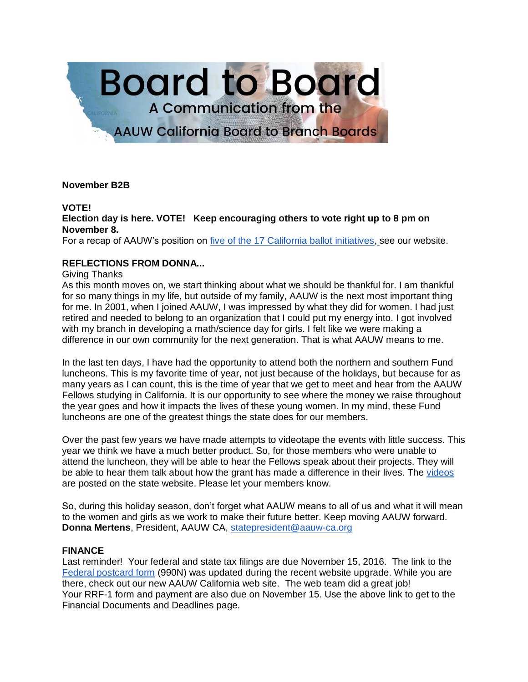

## **November B2B**

## **VOTE!**

# **Election day is here. VOTE! Keep encouraging others to vote right up to 8 pm on November 8.**

For a recap of AAUW's position on [five of the 17 California ballot initiatives,](http://www.aauw-ca.org/aauw-takes-positions-november-ballot-initiatives/) see our website.

# **REFLECTIONS FROM DONNA...**

### Giving Thanks

As this month moves on, we start thinking about what we should be thankful for. I am thankful for so many things in my life, but outside of my family, AAUW is the next most important thing for me. In 2001, when I joined AAUW, I was impressed by what they did for women. I had just retired and needed to belong to an organization that I could put my energy into. I got involved with my branch in developing a math/science day for girls. I felt like we were making a difference in our own community for the next generation. That is what AAUW means to me.

In the last ten days, I have had the opportunity to attend both the northern and southern Fund luncheons. This is my favorite time of year, not just because of the holidays, but because for as many years as I can count, this is the time of year that we get to meet and hear from the AAUW Fellows studying in California. It is our opportunity to see where the money we raise throughout the year goes and how it impacts the lives of these young women. In my mind, these Fund luncheons are one of the greatest things the state does for our members.

Over the past few years we have made attempts to videotape the events with little success. This year we think we have a much better product. So, for those members who were unable to attend the luncheon, they will be able to hear the Fellows speak about their projects. They will be able to hear them talk about how the grant has made a difference in their lives. The [videos](http://www.aauw-ca.org/meet-fellowship-grant-recipients/) are posted on the state website. Please let your members know.

So, during this holiday season, don't forget what AAUW means to all of us and what it will mean to the women and girls as we work to make their future better. Keep moving AAUW forward. **Donna Mertens**, President, AAUW CA, [statepresident@aauw-ca.org](mailto:statepresident@aauw-ca.org)

### **FINANCE**

Last reminder! Your federal and state tax filings are due November 15, 2016. The link to the [Federal postcard form](http://www.aauw-ca.org/financial-documents-deadlines/) (990N) was updated during the recent website upgrade. While you are there, check out our new AAUW California web site. The web team did a great job! Your RRF-1 form and payment are also due on November 15. Use the above link to get to the Financial Documents and Deadlines page.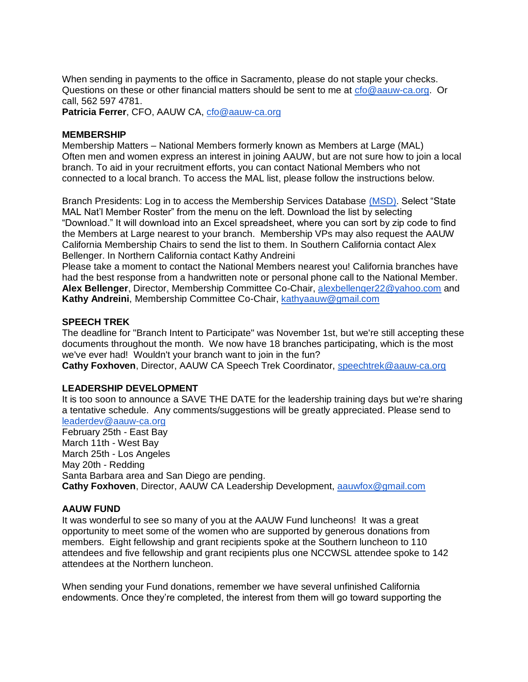When sending in payments to the office in Sacramento, please do not staple your checks. Questions on these or other financial matters should be sent to me at [cfo@aauw-ca.org.](mailto:cfo@aauw-ca.org) Or call, 562 597 4781.

**Patricia Ferrer**, CFO, AAUW CA, [cfo@aauw-ca.org](mailto:cfo@aauw-ca.org)

## **MEMBERSHIP**

Membership Matters – National Members formerly known as Members at Large (MAL) Often men and women express an interest in joining AAUW, but are not sure how to join a local branch. To aid in your recruitment efforts, you can contact National Members who not connected to a local branch. To access the MAL list, please follow the instructions below.

Branch Presidents: Log in to access the Membership Services Database [\(MSD\).](http://www.aauw.org/resource/member-services-database/) Select "State MAL Nat'l Member Roster" from the menu on the left. Download the list by selecting "Download." It will download into an Excel spreadsheet, where you can sort by zip code to find the Members at Large nearest to your branch. Membership VPs may also request the AAUW California Membership Chairs to send the list to them. In Southern California contact Alex Bellenger. In Northern California contact Kathy Andreini

Please take a moment to contact the National Members nearest you! California branches have had the best response from a handwritten note or personal phone call to the National Member. **Alex Bellenger**, Director, Membership Committee Co-Chair, [alexbellenger22@yahoo.com](mailto:alexbellenger22@yahoo.com) and **Kathy Andreini**, Membership Committee Co-Chair, [kathyaauw@gmail.com](mailto:kathyaauw@gmail.com)

## **SPEECH TREK**

The deadline for "Branch Intent to Participate" was November 1st, but we're still accepting these documents throughout the month. We now have 18 branches participating, which is the most we've ever had! Wouldn't your branch want to join in the fun?

**Cathy Foxhoven**, Director, AAUW CA Speech Trek Coordinator, [speechtrek@aauw-ca.org](mailto:speechtrek@aauw-ca.org)

### **LEADERSHIP DEVELOPMENT**

It is too soon to announce a SAVE THE DATE for the leadership training days but we're sharing a tentative schedule. Any comments/suggestions will be greatly appreciated. Please send to [leaderdev@aauw-ca.org](mailto:leaderdev@aauw-ca.org) February 25th - East Bay March 11th - West Bay

March 25th - Los Angeles May 20th - Redding Santa Barbara area and San Diego are pending. **Cathy Foxhoven**, Director, AAUW CA Leadership Development, [aauwfox@gmail.com](mailto:aauwfox@gmail.com)

### **AAUW FUND**

It was wonderful to see so many of you at the AAUW Fund luncheons! It was a great opportunity to meet some of the women who are supported by generous donations from members. Eight fellowship and grant recipients spoke at the Southern luncheon to 110 attendees and five fellowship and grant recipients plus one NCCWSL attendee spoke to 142 attendees at the Northern luncheon.

When sending your Fund donations, remember we have several unfinished California endowments. Once they're completed, the interest from them will go toward supporting the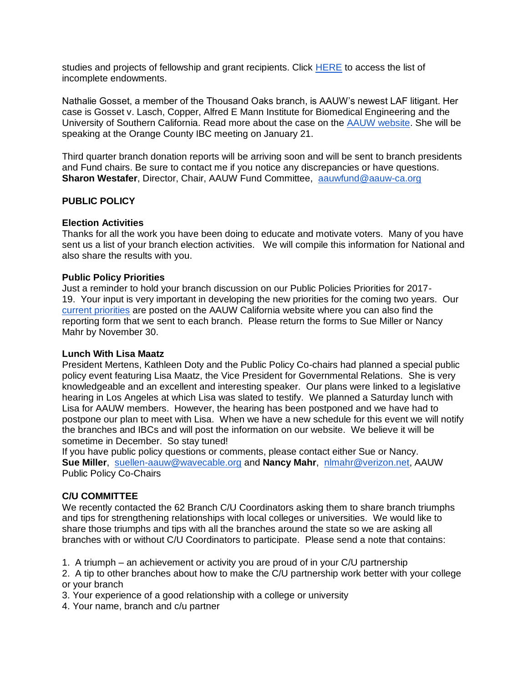studies and projects of fellowship and grant recipients. Click [HERE](http://www.aauw-ca.org/unfinished-endowments/) to access the list of incomplete endowments.

Nathalie Gosset, a member of the Thousand Oaks branch, is AAUW's newest LAF litigant. Her case is Gosset v. Lasch, Copper, Alfred E Mann Institute for Biomedical Engineering and the University of Southern California. Read more about the case on the [AAUW website.](http://www.aauw.org/resource/gosset-v-lasch/) She will be speaking at the Orange County IBC meeting on January 21.

Third quarter branch donation reports will be arriving soon and will be sent to branch presidents and Fund chairs. Be sure to contact me if you notice any discrepancies or have questions. **Sharon Westafer, Director, Chair, AAUW Fund Committee, [aauwfund@aauw-ca.org](mailto:aauwfund@aauw-ca.org)** 

## **PUBLIC POLICY**

## **Election Activities**

Thanks for all the work you have been doing to educate and motivate voters. Many of you have sent us a list of your branch election activities. We will compile this information for National and also share the results with you.

### **Public Policy Priorities**

Just a reminder to hold your branch discussion on our Public Policies Priorities for 2017- 19. Your input is very important in developing the new priorities for the coming two years. Ou[r](http://www.aauw-ca.org/upd-17-19-ppp/) [current priorities](http://www.aauw-ca.org/upd-17-19-ppp/) are posted on the AAUW California website where you can also find the reporting form that we sent to each branch. Please return the forms to Sue Miller or Nancy Mahr by November 30.

### **Lunch With Lisa Maatz**

President Mertens, Kathleen Doty and the Public Policy Co-chairs had planned a special public policy event featuring Lisa Maatz, the Vice President for Governmental Relations. She is very knowledgeable and an excellent and interesting speaker. Our plans were linked to a legislative hearing in Los Angeles at which Lisa was slated to testify. We planned a Saturday lunch with Lisa for AAUW members. However, the hearing has been postponed and we have had to postpone our plan to meet with Lisa. When we have a new schedule for this event we will notify the branches and IBCs and will post the information on our website. We believe it will be sometime in December. So stay tuned!

If you have public policy questions or comments, please contact either Sue or Nancy. **Sue Miller**, [suellen-aauw@wavecable.org](mailto:suellen-aauw@wavecable.org) and **Nancy Mahr**, [nlmahr@verizon.net,](mailto:nlmahr@verizon.net) AAUW Public Policy Co-Chairs

# **C/U COMMITTEE**

We recently contacted the 62 Branch C/U Coordinators asking them to share branch triumphs and tips for strengthening relationships with local colleges or universities. We would like to share those triumphs and tips with all the branches around the state so we are asking all branches with or without C/U Coordinators to participate. Please send a note that contains:

1. A triumph – an achievement or activity you are proud of in your C/U partnership

2. A tip to other branches about how to make the C/U partnership work better with your college or your branch

- 3. Your experience of a good relationship with a college or university
- 4. Your name, branch and c/u partner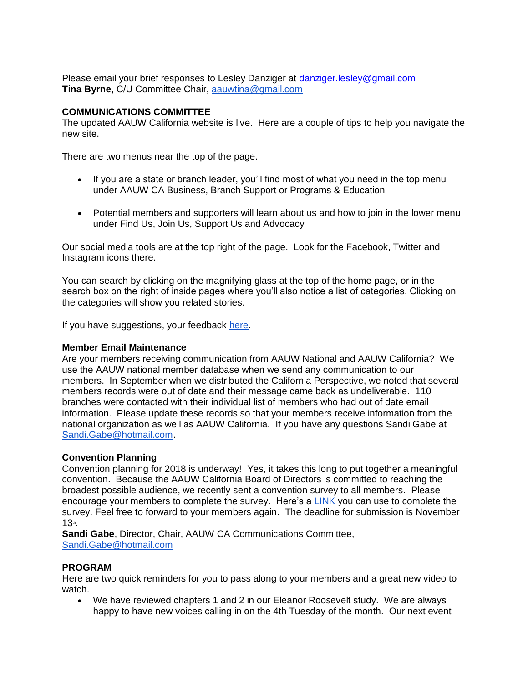Please email your brief responses to Lesley Danziger at [danziger.lesley@gmail.com](mailto:danziger.lesley@gmail.com) **Tina Byrne**, C/U Committee Chair, [aauwtina@gmail.com](mailto:aauwtina@gmail.com)

# **COMMUNICATIONS COMMITTEE**

The updated AAUW California website is live. Here are a couple of tips to help you navigate the new site.

There are two menus near the top of the page.

- If you are a state or branch leader, you'll find most of what you need in the top menu under AAUW CA Business, Branch Support or Programs & Education
- Potential members and supporters will learn about us and how to join in the lower menu under Find Us, Join Us, Support Us and Advocacy

Our social media tools are at the top right of the page. Look for the Facebook, Twitter and Instagram icons there.

You can search by clicking on the magnifying glass at the top of the home page, or in the search box on the right of inside pages where you'll also notice a list of categories. Clicking on the categories will show you related stories.

If you have suggestions, your feedback [here.](https://docs.google.com/forms/d/e/1FAIpQLSf5WRP4DEQa968olyVqByQcrQVdFbs6mVOEKI-iw9wts0agTA/viewform)

### **Member Email Maintenance**

Are your members receiving communication from AAUW National and AAUW California? We use the AAUW national member database when we send any communication to our members. In September when we distributed the California Perspective, we noted that several members records were out of date and their message came back as undeliverable. 110 branches were contacted with their individual list of members who had out of date email information. Please update these records so that your members receive information from the national organization as well as AAUW California. If you have any questions Sandi Gabe at [Sandi.Gabe@hotmail.com.](mailto:Sandi.Gabe@hotmail.com)

### **Convention Planning**

Convention planning for 2018 is underway! Yes, it takes this long to put together a meaningful convention. Because the AAUW California Board of Directors is committed to reaching the broadest possible audience, we recently sent a convention survey to all members. Please encourage your members to complete the survey. Here's a **LINK** you can use to complete the survey. Feel free to forward to your members again. The deadline for submission is November 13th.

**Sandi Gabe**, Director, Chair, AAUW CA Communications Committee, [Sandi.Gabe@hotmail.com](mailto:Sandi.Gabe@hotmail.com)

### **PROGRAM**

Here are two quick reminders for you to pass along to your members and a great new video to watch.

 We have reviewed chapters 1 and 2 in our Eleanor Roosevelt study. We are always happy to have new voices calling in on the 4th Tuesday of the month. Our next event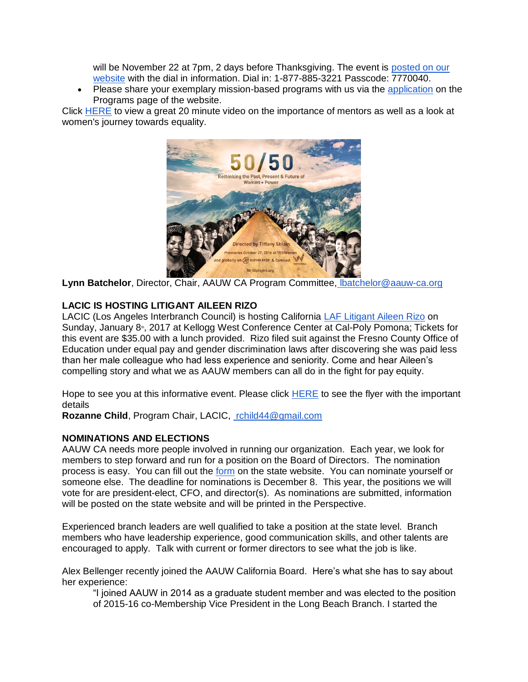will be November 22 at 7pm, 2 days before Thanksgiving. The event is [posted on our](http://www.aauw-ca.org/event/leadership-yesterday-today-and-tomorrow/?instance_id=145)  [website](http://www.aauw-ca.org/event/leadership-yesterday-today-and-tomorrow/?instance_id=145) with the dial in information. Dial in: 1-877-885-3221 Passcode: 7770040.

 Please share your exemplary mission-based programs with us via the [application](http://wp.aauw-ca.org/program-recognition-application/) on the Programs page of the website.

Click [HERE](http://www.letitripple.org/films/50-50/) to view a great 20 minute video on the importance of mentors as well as a look at women's journey towards equality.



**Lynn Batchelor**, Director, Chair, AAUW CA Program Committee, [lbatchelor@aauw-ca.org](mailto:lbatchelor@aauw-ca.org)

## **LACIC IS HOSTING LITIGANT AILEEN RIZO**

LACIC (Los Angeles Interbranch Council) is hosting California *LAF Litigant Aileen Rizo* on Sunday, January 8<sup>th</sup>, 2017 at Kellogg West Conference Center at Cal-Poly Pomona; Tickets for this event are \$35.00 with a lunch provided. Rizo filed suit against the Fresno County Office of Education under equal pay and gender discrimination laws after discovering she was paid less than her male colleague who had less experience and seniority. Come and hear Aileen's compelling story and what we as AAUW members can all do in the fight for pay equity.

Hope to see you at this informative event. Please click [HERE](http://www.aauw-ca.org/wp-content/uploads/2016/09/Rizo-flyer.jpg) to see the flyer with the important details

**Rozanne Child**, Program Chair, LACIC, [rchild44@gmail.com](mailto:rchild44@gmail.com)

### **NOMINATIONS AND ELECTIONS**

AAUW CA needs more people involved in running our organization. Each year, we look for members to step forward and run for a position on the Board of Directors. The nomination process is easy. You can fill out the [form](http://www.aauw-ca.org/elections-nominations/) on the state website. You can nominate yourself or someone else. The deadline for nominations is December 8. This year, the positions we will vote for are president-elect, CFO, and director(s). As nominations are submitted, information will be posted on the state website and will be printed in the Perspective.

Experienced branch leaders are well qualified to take a position at the state level. Branch members who have leadership experience, good communication skills, and other talents are encouraged to apply. Talk with current or former directors to see what the job is like.

Alex Bellenger recently joined the AAUW California Board. Here's what she has to say about her experience:

"I joined AAUW in 2014 as a graduate student member and was elected to the position of 2015-16 co-Membership Vice President in the Long Beach Branch. I started the